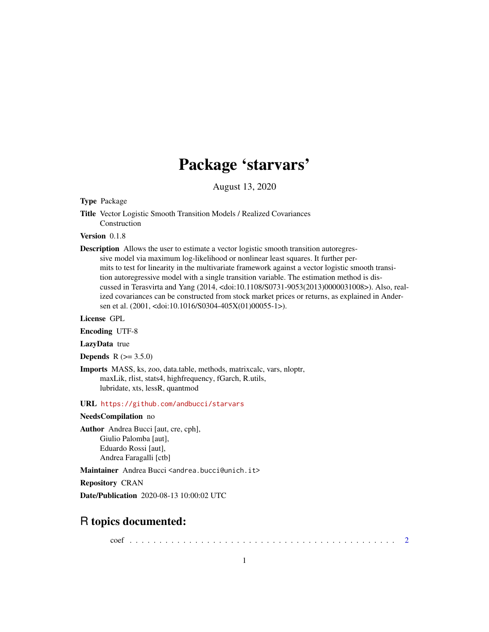# Package 'starvars'

August 13, 2020

# Type Package

Title Vector Logistic Smooth Transition Models / Realized Covariances Construction

# Version 0.1.8

Description Allows the user to estimate a vector logistic smooth transition autoregressive model via maximum log-likelihood or nonlinear least squares. It further permits to test for linearity in the multivariate framework against a vector logistic smooth transition autoregressive model with a single transition variable. The estimation method is discussed in Terasvirta and Yang (2014, <doi:10.1108/S0731-9053(2013)0000031008>). Also, realized covariances can be constructed from stock market prices or returns, as explained in Andersen et al. (2001, <doi:10.1016/S0304-405X(01)00055-1>).

#### License GPL

Encoding UTF-8

LazyData true

**Depends**  $R (= 3.5.0)$ 

Imports MASS, ks, zoo, data.table, methods, matrixcalc, vars, nloptr, maxLik, rlist, stats4, highfrequency, fGarch, R.utils, lubridate, xts, lessR, quantmod

# URL <https://github.com/andbucci/starvars>

#### NeedsCompilation no

Author Andrea Bucci [aut, cre, cph], Giulio Palomba [aut], Eduardo Rossi [aut], Andrea Faragalli [ctb]

Maintainer Andrea Bucci <andrea.bucci@unich.it>

Repository CRAN

Date/Publication 2020-08-13 10:00:02 UTC

# R topics documented:

coef . . . . . . . . . . . . . . . . . . . . . . . . . . . . . . . . . . . . . . . . . . . . . [2](#page-1-0)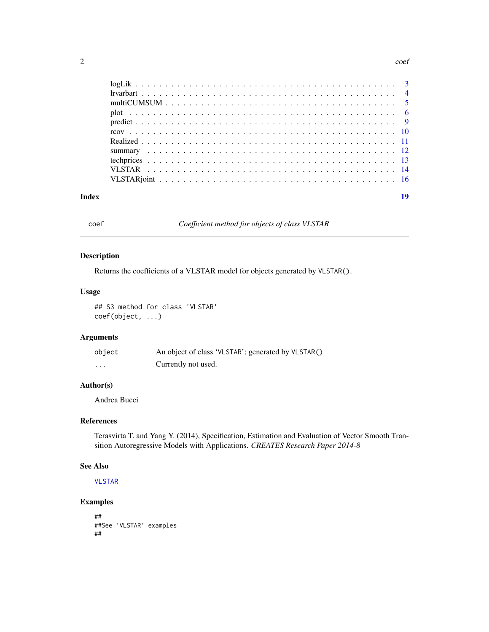#### <span id="page-1-0"></span> $2<sup>2</sup>$

| Index |  |  | 19 |
|-------|--|--|----|

<span id="page-1-1"></span>

# coef *Coefficient method for objects of class VLSTAR*

# Description

Returns the coefficients of a VLSTAR model for objects generated by VLSTAR().

### Usage

## S3 method for class 'VLSTAR' coef(object, ...)

# Arguments

| object | An object of class 'VLSTAR'; generated by VLSTAR() |
|--------|----------------------------------------------------|
| .      | Currently not used.                                |

#### Author(s)

Andrea Bucci

## References

Terasvirta T. and Yang Y. (2014), Specification, Estimation and Evaluation of Vector Smooth Transition Autoregressive Models with Applications. *CREATES Research Paper 2014-8*

# See Also

[VLSTAR](#page-13-1)

```
##
##See 'VLSTAR' examples
##
```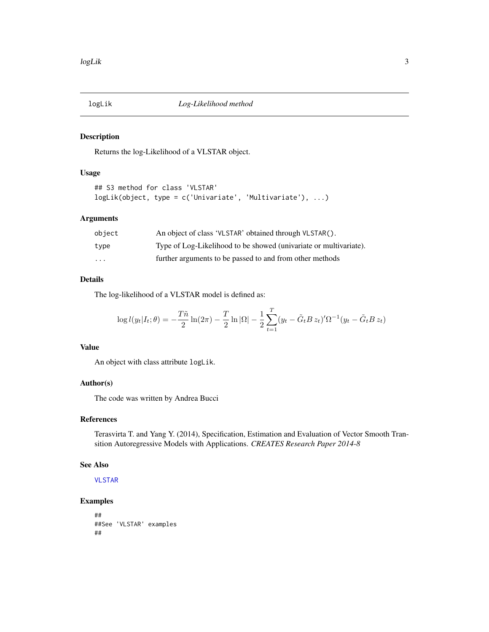<span id="page-2-1"></span><span id="page-2-0"></span>

Returns the log-Likelihood of a VLSTAR object.

#### Usage

```
## S3 method for class 'VLSTAR'
logLik(object, type = c('Univariate', 'Multivariate'), ...)
```
#### Arguments

| object | An object of class 'VLSTAR' obtained through VLSTAR().            |
|--------|-------------------------------------------------------------------|
| type   | Type of Log-Likelihood to be showed (univariate or multivariate). |
| .      | further arguments to be passed to and from other methods          |

# Details

The log-likelihood of a VLSTAR model is defined as:

$$
\log l(y_t|I_t; \theta) = -\frac{T\tilde{n}}{2} \ln(2\pi) - \frac{T}{2} \ln |\Omega| - \frac{1}{2} \sum_{t=1}^T (y_t - \tilde{G}_t B z_t)' \Omega^{-1} (y_t - \tilde{G}_t B z_t)
$$

# Value

An object with class attribute logLik.

#### Author(s)

The code was written by Andrea Bucci

#### References

Terasvirta T. and Yang Y. (2014), Specification, Estimation and Evaluation of Vector Smooth Transition Autoregressive Models with Applications. *CREATES Research Paper 2014-8*

#### See Also

[VLSTAR](#page-13-1)

```
##
##See 'VLSTAR' examples
##
```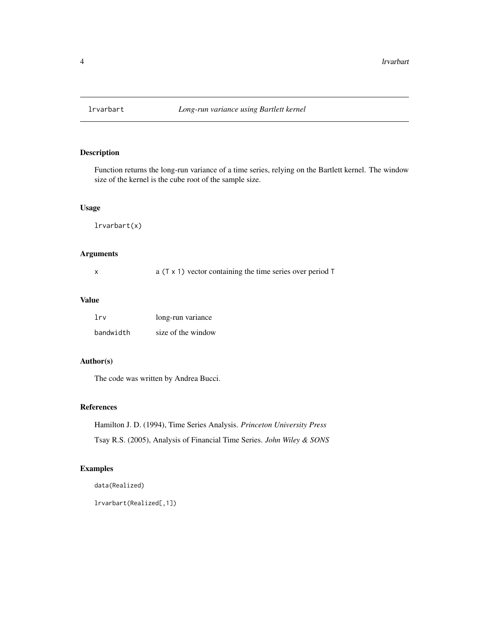<span id="page-3-0"></span>

Function returns the long-run variance of a time series, relying on the Bartlett kernel. The window size of the kernel is the cube root of the sample size.

#### Usage

lrvarbart(x)

# Arguments

|  | a $(T \times 1)$ vector containing the time series over period T |  |
|--|------------------------------------------------------------------|--|
|--|------------------------------------------------------------------|--|

#### Value

| 1rv       | long-run variance  |
|-----------|--------------------|
| bandwidth | size of the window |

# Author(s)

The code was written by Andrea Bucci.

#### References

Hamilton J. D. (1994), Time Series Analysis. *Princeton University Press* Tsay R.S. (2005), Analysis of Financial Time Series. *John Wiley & SONS*

# Examples

data(Realized)

lrvarbart(Realized[,1])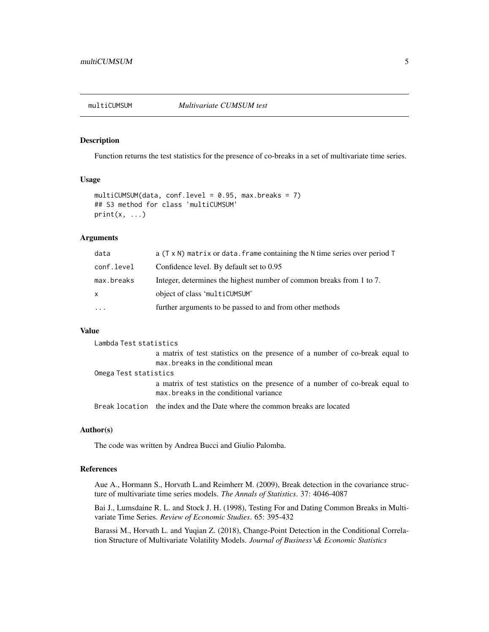<span id="page-4-0"></span>

Function returns the test statistics for the presence of co-breaks in a set of multivariate time series.

# Usage

```
multiCUMSUM(data, conf.level = 0.95, max.breaks = 7)## S3 method for class 'multiCUMSUM'
print(x, \ldots)
```
### **Arguments**

| data       | a (T x N) matrix or data. frame containing the N time series over period T |
|------------|----------------------------------------------------------------------------|
| conf.level | Confidence level. By default set to 0.95                                   |
| max.breaks | Integer, determines the highest number of common breaks from 1 to 7.       |
| X          | object of class 'multiCUMSUM'                                              |
| $\cdots$   | further arguments to be passed to and from other methods                   |
|            |                                                                            |

#### Value

| Lambda Test statistics |                                                                                                                         |
|------------------------|-------------------------------------------------------------------------------------------------------------------------|
|                        | a matrix of test statistics on the presence of a number of co-break equal to<br>max, breaks in the conditional mean     |
| Omega Test statistics  |                                                                                                                         |
|                        | a matrix of test statistics on the presence of a number of co-break equal to<br>max, breaks in the conditional variance |
|                        | Break location the index and the Date where the common breaks are located                                               |

# Author(s)

The code was written by Andrea Bucci and Giulio Palomba.

### References

Aue A., Hormann S., Horvath L.and Reimherr M. (2009), Break detection in the covariance structure of multivariate time series models. *The Annals of Statistics*. 37: 4046-4087

Bai J., Lumsdaine R. L. and Stock J. H. (1998), Testing For and Dating Common Breaks in Multivariate Time Series. *Review of Economic Studies*. 65: 395-432

Barassi M., Horvath L. and Yuqian Z. (2018), Change-Point Detection in the Conditional Correlation Structure of Multivariate Volatility Models. *Journal of Business \& Economic Statistics*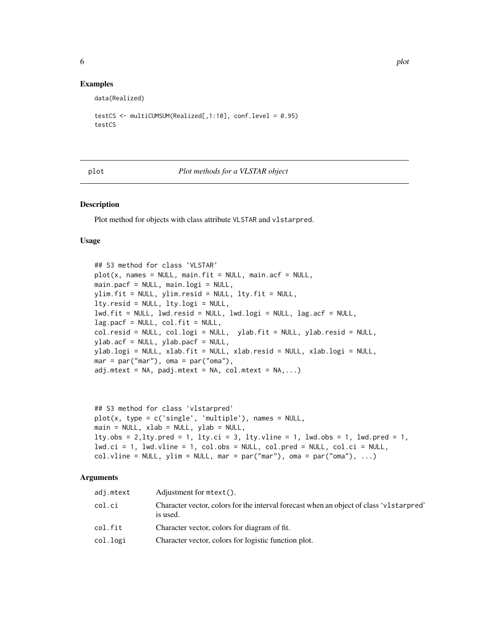# <span id="page-5-0"></span>Examples

data(Realized)

```
testCS <- multiCUMSUM(Realized[,1:10], conf.level = 0.95)
testCS
```
<span id="page-5-1"></span>plot *Plot methods for a VLSTAR object*

#### Description

Plot method for objects with class attribute VLSTAR and vlstarpred.

### Usage

```
## S3 method for class 'VLSTAR'
plot(x, names = NULL, main.fit = NULL, main.acf = NULL,main.pacf = NULL, main.logi = NULL,
ylim.fit = NULL, ylim.resid = NULL, lty.fit = NULL,
lty.resid = NULL, lty.logi = NULL,
lwd.fit = NULL, lwd.resid = NULL, lwd.logi = NULL, lag.acf = NULL,
lag.pack = NULL, col.fit = NULL,col.resid = NULL, col.logi = NULL, ylab.fit = NULL, ylab.resid = NULL,
ylab.acf = NULL, ylab.pacf = NULL,
ylab.logi = NULL, xlab.fit = NULL, xlab.resid = NULL, xlab.logi = NULL,
mar = par("mar"), oma = par("oma"),adj.mtext = NA, padj.mtext = NA, col.mtext = NA,...)
```

```
## S3 method for class 'vlstarpred'
plot(x, type = c('single', 'multiple'), names = NULL,main = NULL, xlab = NULL, ylab = NULL,
lty.obs = 2, lty. pred = 1, lty.ci = 3, lty.vline = 1, lwd.obs = 1, lwd.pred = 1,lwd.ci = 1, lwd.vline = 1, col.obs = NULL, col.pred = NULL, col.ci = NULL,
col.vline = NULL, ylim = NULL, mar = par("mar"), oma = par("oman"), ...
```
#### Arguments

| adj.mtext | Adjustment for $mtext{text}()$ .                                                                    |
|-----------|-----------------------------------------------------------------------------------------------------|
| col.ci    | Character vector, colors for the interval forecast when an object of class 'v1starpred'<br>is used. |
| col.fit   | Character vector, colors for diagram of fit.                                                        |
| col.logi  | Character vector, colors for logistic function plot.                                                |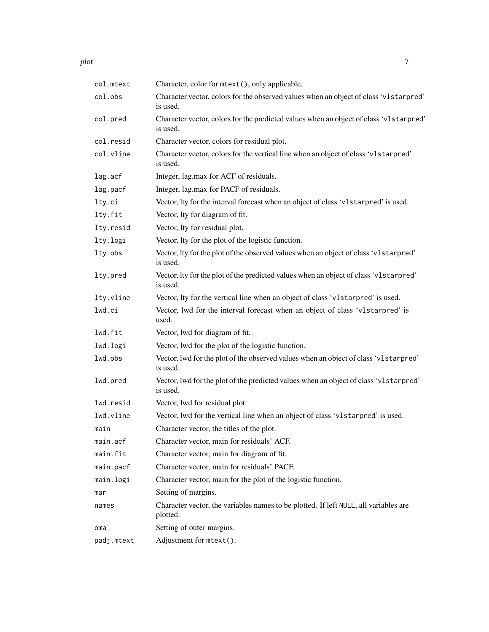| col.mtext  | Character, color for mtext(), only applicable.                                                     |
|------------|----------------------------------------------------------------------------------------------------|
| col.obs    | Character vector, colors for the observed values when an object of class 'v1starpred'<br>is used.  |
| col.pred   | Character vector, colors for the predicted values when an object of class 'v1starpred'<br>is used. |
| col.resid  | Character vector, colors for residual plot.                                                        |
| col.vline  | Character vector, colors for the vertical line when an object of class 'v1starpred'<br>is used.    |
| lag.acf    | Integer, lag.max for ACF of residuals.                                                             |
| lag.pacf   | Integer, lag.max for PACF of residuals.                                                            |
| lty.ci     | Vector, Ity for the interval forecast when an object of class 'v1starpred' is used.                |
| lty.fit    | Vector, lty for diagram of fit.                                                                    |
| lty.resid  | Vector, lty for residual plot.                                                                     |
| lty.logi   | Vector, lty for the plot of the logistic function.                                                 |
| lty.obs    | Vector, lty for the plot of the observed values when an object of class 'v1starpred'<br>is used.   |
| lty.pred   | Vector, Ity for the plot of the predicted values when an object of class 'v1starpred'<br>is used.  |
| lty.vline  | Vector, Ity for the vertical line when an object of class 'v1starpred' is used.                    |
| lwd.ci     | Vector, lwd for the interval forecast when an object of class 'v1starpred' is<br>used.             |
| lwd.fit    | Vector, lwd for diagram of fit.                                                                    |
| lwd.logi   | Vector, lwd for the plot of the logistic function.                                                 |
| lwd.obs    | Vector, lwd for the plot of the observed values when an object of class 'v1starpred'<br>is used.   |
| lwd.pred   | Vector, lwd for the plot of the predicted values when an object of class 'v1starpred'<br>is used.  |
| lwd.resid  | Vector, lwd for residual plot.                                                                     |
| lwd.vline  | Vector, lwd for the vertical line when an object of class 'v1starpred' is used.                    |
| main       | Character vector, the titles of the plot.                                                          |
| main.acf   | Character vector, main for residuals' ACF.                                                         |
| main.fit   | Character vector, main for diagram of fit.                                                         |
| main.pacf  | Character vector, main for residuals' PACF.                                                        |
| main.logi  | Character vector, main for the plot of the logistic function.                                      |
| mar        | Setting of margins.                                                                                |
| names      | Character vector, the variables names to be plotted. If left NULL, all variables are<br>plotted.   |
| oma        | Setting of outer margins.                                                                          |
| padj.mtext | Adjustment for mtext().                                                                            |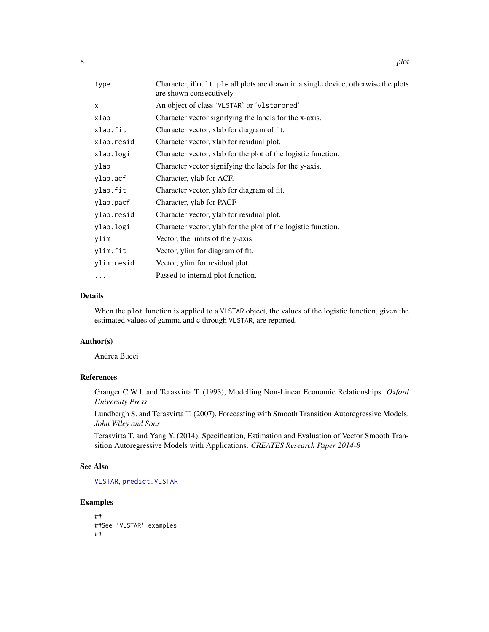<span id="page-7-0"></span>

| type       | Character, if multiple all plots are drawn in a single device, otherwise the plots<br>are shown consecutively. |
|------------|----------------------------------------------------------------------------------------------------------------|
| X          | An object of class 'VLSTAR' or 'vlstarpred'.                                                                   |
| xlab       | Character vector signifying the labels for the x-axis.                                                         |
| xlab.fit   | Character vector, xlab for diagram of fit.                                                                     |
| xlab.resid | Character vector, xlab for residual plot.                                                                      |
| xlab.logi  | Character vector, xlab for the plot of the logistic function.                                                  |
| ylab       | Character vector signifying the labels for the y-axis.                                                         |
| ylab.acf   | Character, ylab for ACF.                                                                                       |
| ylab.fit   | Character vector, ylab for diagram of fit.                                                                     |
| ylab.pacf  | Character, ylab for PACF                                                                                       |
| ylab.resid | Character vector, ylab for residual plot.                                                                      |
| ylab.logi  | Character vector, ylab for the plot of the logistic function.                                                  |
| ylim       | Vector, the limits of the y-axis.                                                                              |
| ylim.fit   | Vector, ylim for diagram of fit.                                                                               |
| ylim.resid | Vector, ylim for residual plot.                                                                                |
| .          | Passed to internal plot function.                                                                              |

# Details

When the plot function is applied to a VLSTAR object, the values of the logistic function, given the estimated values of gamma and c through VLSTAR, are reported.

# Author(s)

Andrea Bucci

# References

Granger C.W.J. and Terasvirta T. (1993), Modelling Non-Linear Economic Relationships. *Oxford University Press*

Lundbergh S. and Terasvirta T. (2007), Forecasting with Smooth Transition Autoregressive Models. *John Wiley and Sons*

Terasvirta T. and Yang Y. (2014), Specification, Estimation and Evaluation of Vector Smooth Transition Autoregressive Models with Applications. *CREATES Research Paper 2014-8*

#### See Also

[VLSTAR](#page-13-1), [predict.VLSTAR](#page-8-1)

```
##
##See 'VLSTAR' examples
##
```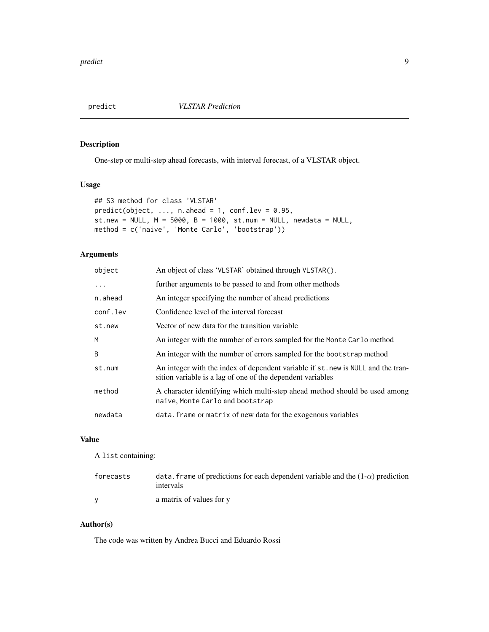<span id="page-8-1"></span><span id="page-8-0"></span>

One-step or multi-step ahead forecasts, with interval forecast, of a VLSTAR object.

# Usage

```
## S3 method for class 'VLSTAR'
predict(object, ..., n. ahead = 1, conf.lev = 0.95,st.new = NULL, M = 5000, B = 1000, st.num = NULL, newdata = NULL,
method = c('naive', 'Monte Carlo', 'bootstrap'))
```
# Arguments

| An object of class 'VLSTAR' obtained through VLSTAR().                                                                                         |
|------------------------------------------------------------------------------------------------------------------------------------------------|
| further arguments to be passed to and from other methods                                                                                       |
| An integer specifying the number of ahead predictions                                                                                          |
| Confidence level of the interval forecast                                                                                                      |
| Vector of new data for the transition variable                                                                                                 |
| An integer with the number of errors sampled for the Monte Carlo method                                                                        |
| An integer with the number of errors sampled for the bootstrap method                                                                          |
| An integer with the index of dependent variable if st. new is NULL and the tran-<br>sition variable is a lag of one of the dependent variables |
| A character identifying which multi-step ahead method should be used among<br>naive, Monte Carlo and bootstrap                                 |
| data. frame or matrix of new data for the exogenous variables                                                                                  |
|                                                                                                                                                |

# Value

A list containing:

| forecasts | data. frame of predictions for each dependent variable and the $(1-\alpha)$ prediction<br>intervals |
|-----------|-----------------------------------------------------------------------------------------------------|
|           | a matrix of values for y                                                                            |

#### Author(s)

The code was written by Andrea Bucci and Eduardo Rossi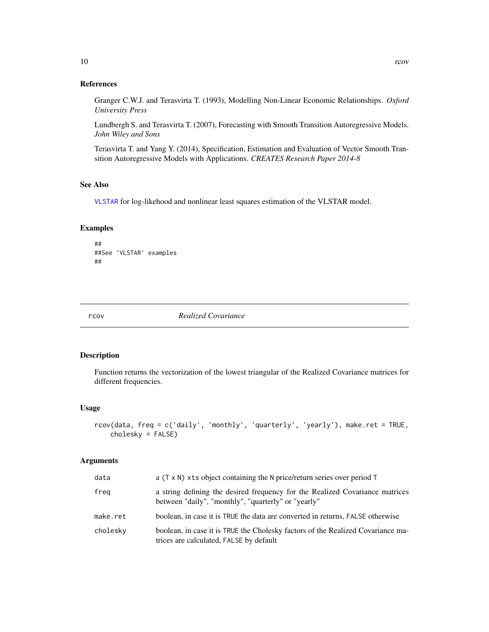### <span id="page-9-0"></span>References

Granger C.W.J. and Terasvirta T. (1993), Modelling Non-Linear Economic Relationships. *Oxford University Press*

Lundbergh S. and Terasvirta T. (2007), Forecasting with Smooth Transition Autoregressive Models. *John Wiley and Sons*

Terasvirta T. and Yang Y. (2014), Specification, Estimation and Evaluation of Vector Smooth Transition Autoregressive Models with Applications. *CREATES Research Paper 2014-8*

# See Also

[VLSTAR](#page-13-1) for log-likehood and nonlinear least squares estimation of the VLSTAR model.

# Examples

```
##
##See 'VLSTAR' examples
##
```
<span id="page-9-1"></span>

rcov *Realized Covariance*

# Description

Function returns the vectorization of the lowest triangular of the Realized Covariance matrices for different frequencies.

#### Usage

```
rcov(data, freq = c('daily', 'monthly', 'quarterly', 'yearly'), make.ret = TRUE,
    cholesky = FALSE)
```
## Arguments

| data     | a (T x N) xts object containing the N price/return series over period T                                                             |
|----------|-------------------------------------------------------------------------------------------------------------------------------------|
| freg     | a string defining the desired frequency for the Realized Covariance matrices<br>between "daily", "monthly", "quarterly" or "yearly" |
| make.ret | boolean, in case it is TRUE the data are converted in returns, FALSE otherwise                                                      |
| cholesky | boolean, in case it is TRUE the Cholesky factors of the Realized Covariance ma-<br>trices are calculated, FALSE by default          |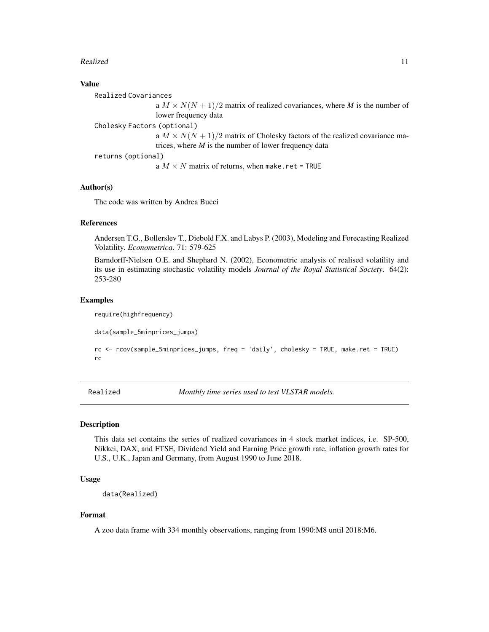#### <span id="page-10-0"></span>Realized 11

# Value

Realized Covariances a  $M \times N(N + 1)/2$  matrix of realized covariances, where *M* is the number of lower frequency data Cholesky Factors (optional) a  $M \times N(N + 1)/2$  matrix of Cholesky factors of the realized covariance matrices, where *M* is the number of lower frequency data returns (optional) a  $M \times N$  matrix of returns, when make.ret = TRUE

#### Author(s)

The code was written by Andrea Bucci

#### References

Andersen T.G., Bollerslev T., Diebold F.X. and Labys P. (2003), Modeling and Forecasting Realized Volatility. *Econometrica*. 71: 579-625

Barndorff-Nielsen O.E. and Shephard N. (2002), Econometric analysis of realised volatility and its use in estimating stochastic volatility models *Journal of the Royal Statistical Society*. 64(2): 253-280

#### Examples

require(highfrequency)

data(sample\_5minprices\_jumps)

```
rc <- rcov(sample_5minprices_jumps, freq = 'daily', cholesky = TRUE, make.ret = TRUE)
rc
```
Realized *Monthly time series used to test VLSTAR models.*

#### Description

This data set contains the series of realized covariances in 4 stock market indices, i.e. SP-500, Nikkei, DAX, and FTSE, Dividend Yield and Earning Price growth rate, inflation growth rates for U.S., U.K., Japan and Germany, from August 1990 to June 2018.

# Usage

data(Realized)

#### Format

A zoo data frame with 334 monthly observations, ranging from 1990:M8 until 2018:M6.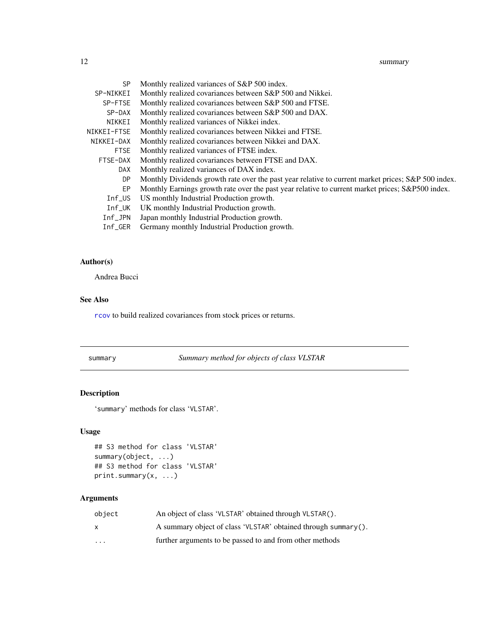#### <span id="page-11-0"></span>12 summary

| SP.                   | Monthly realized variances of S&P 500 index.                                                       |
|-----------------------|----------------------------------------------------------------------------------------------------|
| SP-NIKKEI             | Monthly realized covariances between S&P 500 and Nikkei.                                           |
| SP-FTSE               | Monthly realized covariances between S&P 500 and FTSE.                                             |
| SP-DAX                | Monthly realized covariances between S&P 500 and DAX.                                              |
| NIKKEI                | Monthly realized variances of Nikkei index.                                                        |
| NIKKEI-FTSE           | Monthly realized covariances between Nikkei and FTSE.                                              |
| NIKKEI-DAX            | Monthly realized covariances between Nikkei and DAX.                                               |
| <b>FTSE</b>           | Monthly realized variances of FTSE index.                                                          |
| FTSE-DAX              | Monthly realized covariances between FTSE and DAX.                                                 |
| DAX.                  | Monthly realized variances of DAX index.                                                           |
| DP.                   | Monthly Dividends growth rate over the past year relative to current market prices; S&P 500 index. |
| EP.                   | Monthly Earnings growth rate over the past year relative to current market prices; S&P500 index.   |
| $Inf$ _US             | US monthly Industrial Production growth.                                                           |
| $Inf_U$ K             | UK monthly Industrial Production growth.                                                           |
| $Inf$ <sub>_JPN</sub> | Japan monthly Industrial Production growth.                                                        |
| $Inf_GER$             | Germany monthly Industrial Production growth.                                                      |
|                       |                                                                                                    |

# Author(s)

Andrea Bucci

#### See Also

[rcov](#page-9-1) to build realized covariances from stock prices or returns.

<span id="page-11-1"></span>summary *Summary method for objects of class VLSTAR*

# Description

'summary' methods for class 'VLSTAR'.

# Usage

```
## S3 method for class 'VLSTAR'
summary(object, ...)
## S3 method for class 'VLSTAR'
print.summary(x, ...)
```
# Arguments

| object   | An object of class 'VLSTAR' obtained through VLSTAR().         |
|----------|----------------------------------------------------------------|
|          | A summary object of class 'VLSTAR' obtained through summary(). |
| $\cdots$ | further arguments to be passed to and from other methods       |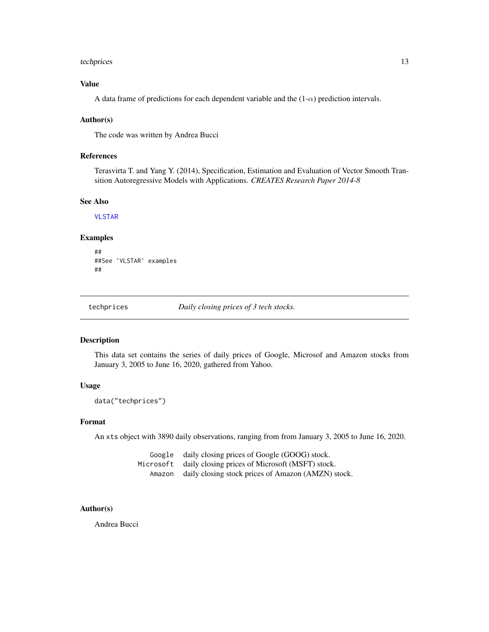#### <span id="page-12-0"></span>techprices and the state of the state of the state of the state of the state of the state of the state of the state of the state of the state of the state of the state of the state of the state of the state of the state of

# Value

A data frame of predictions for each dependent variable and the  $(1-\alpha)$  prediction intervals.

#### Author(s)

The code was written by Andrea Bucci

#### References

Terasvirta T. and Yang Y. (2014), Specification, Estimation and Evaluation of Vector Smooth Transition Autoregressive Models with Applications. *CREATES Research Paper 2014-8*

#### See Also

[VLSTAR](#page-13-1)

#### Examples

```
##
##See 'VLSTAR' examples
##
```
techprices *Daily closing prices of 3 tech stocks.*

# Description

This data set contains the series of daily prices of Google, Microsof and Amazon stocks from January 3, 2005 to June 16, 2020, gathered from Yahoo.

# Usage

data("techprices")

#### Format

An xts object with 3890 daily observations, ranging from from January 3, 2005 to June 16, 2020.

|        | Google daily closing prices of Google (GOOG) stock.       |
|--------|-----------------------------------------------------------|
|        | Microsoft daily closing prices of Microsoft (MSFT) stock. |
| Amazon | daily closing stock prices of Amazon (AMZN) stock.        |

### Author(s)

Andrea Bucci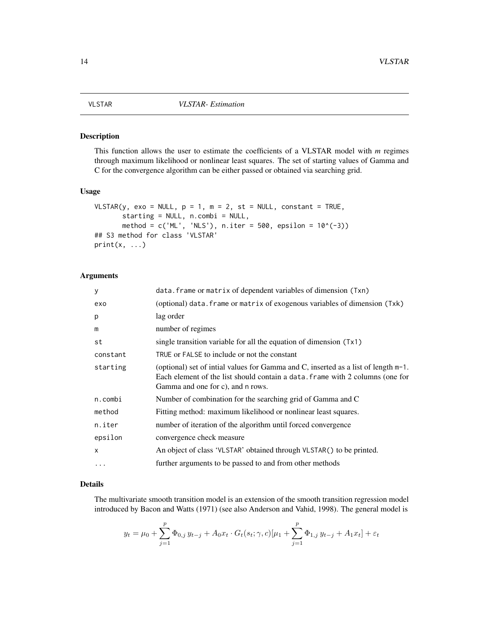<span id="page-13-1"></span><span id="page-13-0"></span>

This function allows the user to estimate the coefficients of a VLSTAR model with *m* regimes through maximum likelihood or nonlinear least squares. The set of starting values of Gamma and C for the convergence algorithm can be either passed or obtained via searching grid.

#### Usage

```
VLSTAR(y, exo = NULL, p = 1, m = 2, st = NULL, constant = TRUE,
       starting = NULL, n.combi = NULL,
       method = c('ML', 'NLS'), n.iter = 500, epsilon = <math>10^(-3)</math>## S3 method for class 'VLSTAR'
print(x, \ldots)
```
# Arguments

| У         | data. frame or matrix of dependent variables of dimension (Txn)                                                                                                                                          |
|-----------|----------------------------------------------------------------------------------------------------------------------------------------------------------------------------------------------------------|
| exo       | (optional) data. frame or matrix of exogenous variables of dimension (Txk)                                                                                                                               |
| p         | lag order                                                                                                                                                                                                |
| m         | number of regimes                                                                                                                                                                                        |
| st        | single transition variable for all the equation of dimension (Tx1)                                                                                                                                       |
| constant  | TRUE or FALSE to include or not the constant                                                                                                                                                             |
| starting  | (optional) set of intial values for Gamma and C, inserted as a list of length m-1.<br>Each element of the list should contain a data. frame with 2 columns (one for<br>Gamma and one for c), and n rows. |
| n.combi   | Number of combination for the searching grid of Gamma and C                                                                                                                                              |
| method    | Fitting method: maximum likelihood or nonlinear least squares.                                                                                                                                           |
| n.iter    | number of iteration of the algorithm until forced convergence                                                                                                                                            |
| epsilon   | convergence check measure                                                                                                                                                                                |
| $\times$  | An object of class 'VLSTAR' obtained through VLSTAR() to be printed.                                                                                                                                     |
| $\ddotsc$ | further arguments to be passed to and from other methods                                                                                                                                                 |

#### Details

The multivariate smooth transition model is an extension of the smooth transition regression model introduced by Bacon and Watts (1971) (see also Anderson and Vahid, 1998). The general model is

$$
y_t = \mu_0 + \sum_{j=1}^p \Phi_{0,j} y_{t-j} + A_0 x_t \cdot G_t(s_t; \gamma, c) [\mu_1 + \sum_{j=1}^p \Phi_{1,j} y_{t-j} + A_1 x_t] + \varepsilon_t
$$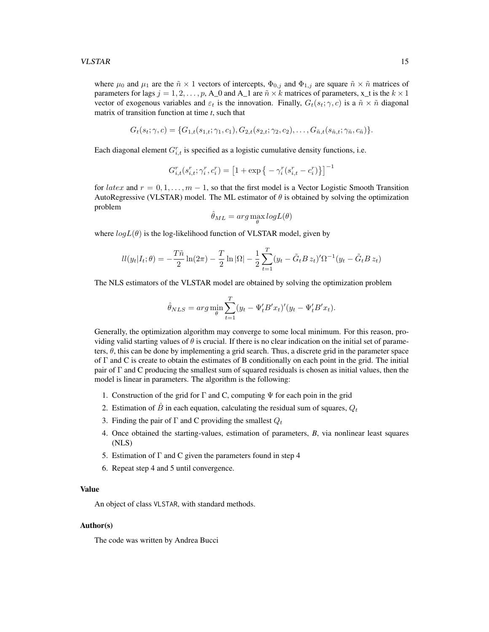where  $\mu_0$  and  $\mu_1$  are the  $\tilde{n} \times 1$  vectors of intercepts,  $\Phi_{0,j}$  and  $\Phi_{1,j}$  are square  $\tilde{n} \times \tilde{n}$  matrices of parameters for lags  $j = 1, 2, \dots, p$ , A\_0 and A\_1 are  $\tilde{n} \times k$  matrices of parameters, x\_t is the  $k \times 1$ vector of exogenous variables and  $\varepsilon_t$  is the innovation. Finally,  $G_t(s_t; \gamma, c)$  is a  $\tilde{n} \times \tilde{n}$  diagonal matrix of transition function at time *t*, such that

$$
G_t(s_t; \gamma, c) = \{G_{1,t}(s_{1,t}; \gamma_1, c_1), G_{2,t}(s_{2,t}; \gamma_2, c_2), \ldots, G_{\tilde{n},t}(s_{\tilde{n},t}; \gamma_{\tilde{n}}, c_{\tilde{n}})\}.
$$

Each diagonal element  $G_{i,t}^r$  is specified as a logistic cumulative density functions, i.e.

$$
G_{i,t}^r(s_{i,t}^r;\gamma_i^r,c_i^r)=\left[1+\exp\big\{-\gamma_i^r(s_{i,t}^r-c_i^r)\big\}\right]^{-1}
$$

for latex and  $r = 0, 1, \ldots, m - 1$ , so that the first model is a Vector Logistic Smooth Transition AutoRegressive (VLSTAR) model. The ML estimator of  $\theta$  is obtained by solving the optimization problem

$$
\hat{\theta}_{ML} = arg \max_{\theta} log L(\theta)
$$

where  $log L(\theta)$  is the log-likelihood function of VLSTAR model, given by

$$
ll(y_t|I_t; \theta) = -\frac{T\tilde{n}}{2}\ln(2\pi) - \frac{T}{2}\ln|\Omega| - \frac{1}{2}\sum_{t=1}^T (y_t - \tilde{G}_t B z_t)' \Omega^{-1} (y_t - \tilde{G}_t B z_t)
$$

The NLS estimators of the VLSTAR model are obtained by solving the optimization problem

$$
\hat{\theta}_{NLS} = \arg\min_{\theta} \sum_{t=1}^{T} (y_t - \Psi'_t B' x_t)' (y_t - \Psi'_t B' x_t).
$$

Generally, the optimization algorithm may converge to some local minimum. For this reason, providing valid starting values of  $\theta$  is crucial. If there is no clear indication on the initial set of parameters,  $\theta$ , this can be done by implementing a grid search. Thus, a discrete grid in the parameter space of  $\Gamma$  and C is create to obtain the estimates of B conditionally on each point in the grid. The initial pair of  $\Gamma$  and C producing the smallest sum of squared residuals is chosen as initial values, then the model is linear in parameters. The algorithm is the following:

- 1. Construction of the grid for  $\Gamma$  and C, computing  $\Psi$  for each poin in the grid
- 2. Estimation of  $\hat{B}$  in each equation, calculating the residual sum of squares,  $Q_t$
- 3. Finding the pair of  $\Gamma$  and C providing the smallest  $Q_t$
- 4. Once obtained the starting-values, estimation of parameters, *B*, via nonlinear least squares (NLS)
- 5. Estimation of  $\Gamma$  and C given the parameters found in step 4
- 6. Repeat step 4 and 5 until convergence.

## Value

An object of class VLSTAR, with standard methods.

#### Author(s)

The code was written by Andrea Bucci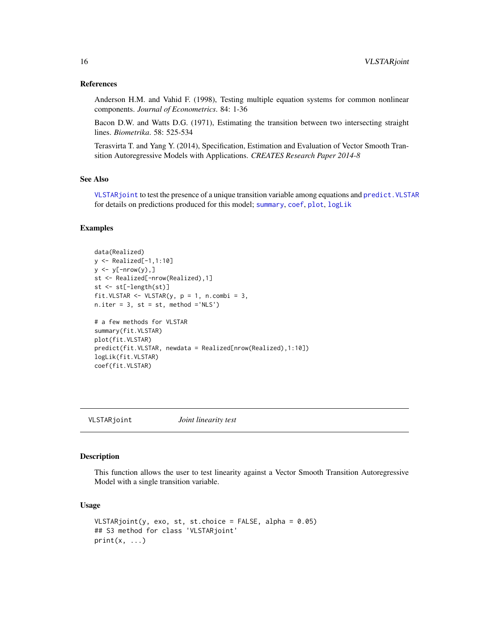#### <span id="page-15-0"></span>References

Anderson H.M. and Vahid F. (1998), Testing multiple equation systems for common nonlinear components. *Journal of Econometrics*. 84: 1-36

Bacon D.W. and Watts D.G. (1971), Estimating the transition between two intersecting straight lines. *Biometrika*. 58: 525-534

Terasvirta T. and Yang Y. (2014), Specification, Estimation and Evaluation of Vector Smooth Transition Autoregressive Models with Applications. *CREATES Research Paper 2014-8*

# See Also

[VLSTARjoint](#page-15-1) to test the presence of a unique transition variable among equations and predict. VLSTAR for details on predictions produced for this model; [summary](#page-11-1), [coef](#page-1-1), [plot](#page-5-1), [logLik](#page-2-1)

# Examples

```
data(Realized)
y <- Realized[-1,1:10]
y \le y[-nrow(y),]
st <- Realized[-nrow(Realized),1]
st <- st[-length(st)]
fit.VLSTAR \leq VLSTAR(y, p = 1, n.combi = 3,
n.iter = 3, st = st, method ='NLS')# a few methods for VLSTAR
summary(fit.VLSTAR)
plot(fit.VLSTAR)
predict(fit.VLSTAR, newdata = Realized[nrow(Realized),1:10])
logLik(fit.VLSTAR)
coef(fit.VLSTAR)
```
<span id="page-15-1"></span>VLSTARjoint *Joint linearity test*

#### Description

This function allows the user to test linearity against a Vector Smooth Transition Autoregressive Model with a single transition variable.

#### Usage

```
VLSTARjoint(y, exo, st, st.choice = FALSE, alpha = 0.05)
## S3 method for class 'VLSTARjoint'
print(x, \ldots)
```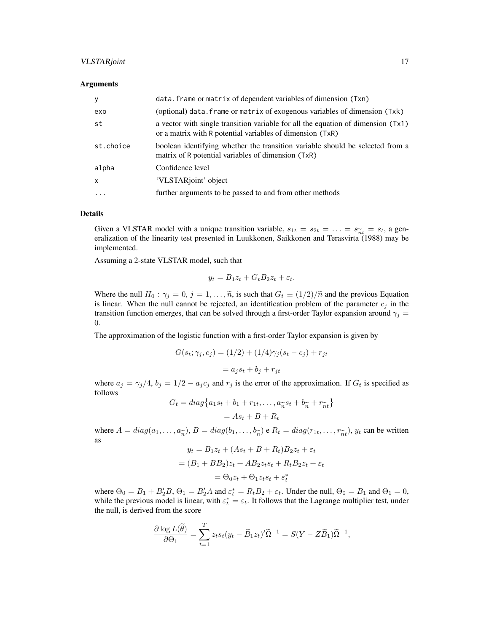### VLSTARjoint 17

#### **Arguments**

| y            | data. frame or matrix of dependent variables of dimension (Txn)                                                                               |
|--------------|-----------------------------------------------------------------------------------------------------------------------------------------------|
| exo          | (optional) data. frame or matrix of exogenous variables of dimension (Txk)                                                                    |
| st           | a vector with single transition variable for all the equation of dimension (Tx1)<br>or a matrix with R potential variables of dimension (TxR) |
| st.choice    | boolean identifying whether the transition variable should be selected from a<br>matrix of R potential variables of dimension (TxR)           |
| alpha        | Confidence level                                                                                                                              |
| $\mathsf{x}$ | 'VLSTARjoint' object                                                                                                                          |
| $\cdots$     | further arguments to be passed to and from other methods                                                                                      |

#### Details

Given a VLSTAR model with a unique transition variable,  $s_{1t} = s_{2t} = \ldots = s_{\widetilde{n}t} = s_t$ , a generalization of the linearity test presented in Luukkonen, Saikkonen and Terasvirta (1988) may be eralization of the linearity test presented in Luukkonen, Saikkonen and Terasvirta (1988) may be implemented.

Assuming a 2-state VLSTAR model, such that

$$
y_t = B_1 z_t + G_t B_2 z_t + \varepsilon_t.
$$

Where the null  $H_0$ :  $\gamma_j = 0$ ,  $j = 1, \ldots, \tilde{n}$ , is such that  $G_t \equiv (1/2)/\tilde{n}$  and the previous Equation is linear. When the null cannot be rejected, an identification problem of the parameter  $c_j$  in the transition function emerges, that can be solved through a first-order Taylor expansion around  $\gamma_j =$ 0.

The approximation of the logistic function with a first-order Taylor expansion is given by

$$
G(st; \gammaj, cj) = (1/2) + (1/4)\gammaj(st - cj) + rjt
$$

$$
= ajst + bj + rit
$$

where  $a_j = \gamma_j/4$ ,  $b_j = 1/2 - a_j c_j$  and  $r_j$  is the error of the approximation. If  $G_t$  is specified as follows

$$
G_t = diag\{a_1s_t + b_1 + r_{1t}, \dots, a_{\widetilde{n}}s_t + b_{\widetilde{n}} + r_{\widetilde{n}t}\}\
$$

$$
= As_t + B + R_t
$$

where  $A = diag(a_1, ..., a_{\tilde{n}}), B = diag(b_1, ..., b_{\tilde{n}})$  e  $R_t = diag(r_{1t}, ..., r_{\tilde{n}t}), y_t$  can be written as as

$$
y_t = B_1 z_t + (As_t + B + R_t)B_2 z_t + \varepsilon_t
$$
  
=  $(B_1 + BB_2)z_t + AB_2 z_t s_t + R_t B_2 z_t + \varepsilon_t$   
=  $\Theta_0 z_t + \Theta_1 z_t s_t + \varepsilon_t^*$ 

where  $\Theta_0 = B_1 + B_2' B$ ,  $\Theta_1 = B_2' A$  and  $\varepsilon_t^* = R_t B_2 + \varepsilon_t$ . Under the null,  $\Theta_0 = B_1$  and  $\Theta_1 = 0$ , while the previous model is linear, with  $\varepsilon_t^* = \varepsilon_t$ . It follows that the Lagrange multiplier test, under the null, is derived from the score

$$
\frac{\partial \log L(\widetilde{\theta})}{\partial \Theta_1} = \sum_{t=1}^T z_t s_t (y_t - \widetilde{B}_1 z_t)'\widetilde{\Omega}^{-1} = S(Y - Z\widetilde{B}_1)\widetilde{\Omega}^{-1},
$$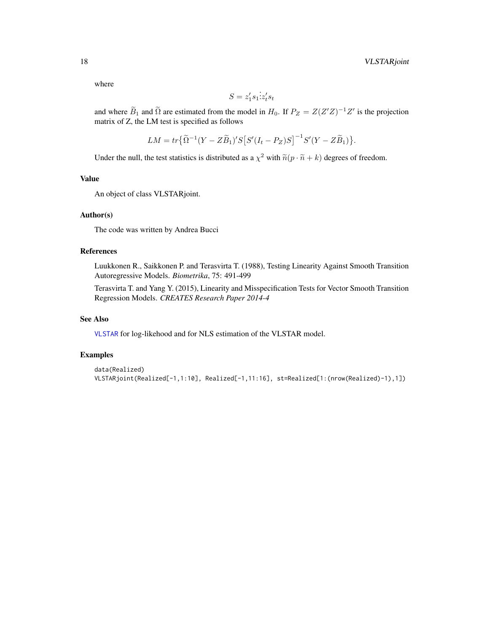<span id="page-17-0"></span>where

$$
S = z_1's_1 \dot{z}_t's_t
$$

and where  $\widetilde{B}_1$  and  $\widetilde{\Omega}$  are estimated from the model in  $H_0$ . If  $P_Z = Z(Z'Z)^{-1}Z'$  is the projection matrix of Z, the LM test is specified as follows

$$
LM = tr\{\widetilde{\Omega}^{-1}(Y - Z\widetilde{B}_1)'S[S'(I_t - P_Z)S]^{-1}S'(Y - Z\widetilde{B}_1)\}.
$$

Under the null, the test statistics is distributed as a  $\chi^2$  with  $\tilde{n}(p \cdot \tilde{n} + k)$  degrees of freedom.

#### Value

An object of class VLSTARjoint.

# Author(s)

The code was written by Andrea Bucci

# References

Luukkonen R., Saikkonen P. and Terasvirta T. (1988), Testing Linearity Against Smooth Transition Autoregressive Models. *Biometrika*, 75: 491-499

Terasvirta T. and Yang Y. (2015), Linearity and Misspecification Tests for Vector Smooth Transition Regression Models. *CREATES Research Paper 2014-4*

#### See Also

[VLSTAR](#page-13-1) for log-likehood and for NLS estimation of the VLSTAR model.

```
data(Realized)
VLSTARjoint(Realized[-1,1:10], Realized[-1,11:16], st=Realized[1:(nrow(Realized)-1),1])
```